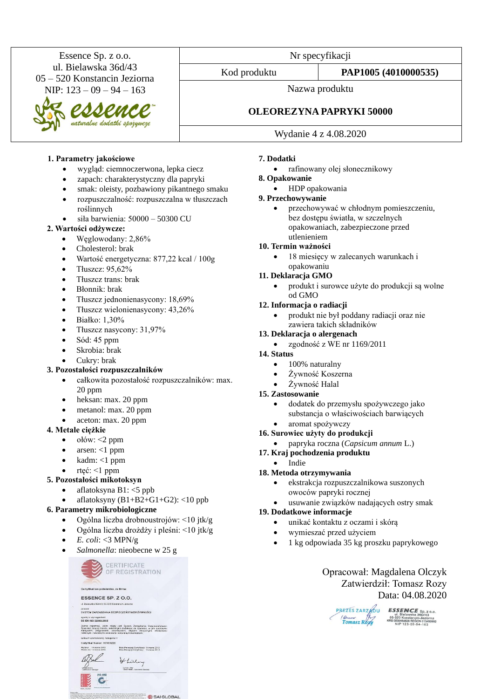Essence Sp. z o.o. ul. Bielawska 36d/43 05 – 520 Konstancin Jeziorna NIP: 123 – 09 – 94 – 163 Nr specyfikacji Kod produktu **PAP1005 (4010000535)** Nazwa produktu **OLEOREZYNA PAPRYKI 50000** Wydanie 4 z 4.08.2020

## **1. Parametry jakościowe**

- wygląd: ciemnoczerwona, lepka ciecz
- zapach: charakterystyczny dla papryki
- smak: oleisty, pozbawiony pikantnego smaku
- rozpuszczalność: rozpuszczalna w tłuszczach roślinnych
- siła barwienia: 50000 50300 CU

#### **2. Wartości odżywcze:**

- Węglowodany: 2,86%
- Cholesterol: brak
- Wartość energetyczna: 877,22 kcal / 100g
- Tłuszcz:  $95.62\%$
- Tłuszcz trans: brak
- Błonnik: brak
- Tłuszcz jednonienasycony: 18,69%
- Tłuszcz wielonienasycony: 43,26%
- $\bullet$  Białko:  $1.30\%$
- Tłuszcz nasycony: 31,97%
- Sód: 45 ppm
- Skrobia: brak
- Cukry: brak

#### **3. Pozostałości rozpuszczalników**

- całkowita pozostałość rozpuszczalników: max. 20 ppm
- heksan: max. 20 ppm
- metanol: max. 20 ppm
- aceton: max. 20 ppm

#### **4. Metale ciężkie**

- ołów: <2 ppm
- arsen:  $<1$  ppm
- kadm: <1 ppm
- rtęć: <1 ppm

#### **5. Pozostałości mikotoksyn**

- aflatoksyna B1: <5 ppb
- aflatoksyny  $(B1+B2+G1+G2)$ : <10 ppb

#### **6. Parametry mikrobiologiczne**

- Ogólna liczba drobnoustrojów: <10 jtk/g
- Ogólna liczba drożdży i pleśni: <10 jtk/g
- *E. coli*: <3 MPN/g
- *Salmonella*: nieobecne w 25 g

CERTIFICATE CERTIFICATE Certyfikat ten potwierdza, że firma ESSENCE SP. Z O.O. posiada<br>SYSTEM ZARZĄDZANIA BEZPIECZEŃSTWEM ŻYWNOŚCI zgodny z wymaganiami<br>BS EN ISO 22000:2005 Zakros rejestracji, jakim objęty jest System Zarządzania Bezpieczeństwem<br>Żywności dotyczy handlu naturalnymi dodatkami do żywności, w tym suszonymi<br>warzywanni, przyprawami, oleorezynami, olejkami oterycznymi, ekstraktami Data Pierreszej Certyfikacji: 14 marca 2012<br>Data Riemeni Certyfikacji: 14 marca 2012 Hlilly Dances Lifey

SAI GLOBAL

#### **7. Dodatki**

- rafinowany olej słonecznikowy
- **8. Opakowanie**
	- HDP opakowania

## **9. Przechowywanie**

• przechowywać w chłodnym pomieszczeniu, bez dostępu światła, w szczelnych opakowaniach, zabezpieczone przed utlenieniem

#### **10. Termin ważności**

18 miesięcy w zalecanych warunkach i opakowaniu

#### **11. Deklaracja GMO**

• produkt i surowce użyte do produkcji są wolne od GMO

#### **12. Informacja o radiacji**

• produkt nie był poddany radiacji oraz nie zawiera takich składników

#### **13. Deklaracja o alergenach**

• zgodność z WE nr 1169/2011

#### **14. Status**

- 100% naturalny
- Żywność Koszerna
- Żywność Halal

#### **15. Zastosowanie**

- dodatek do przemysłu spożywczego jako substancja o właściwościach barwiących • aromat spożywczy
- **16. Surowiec użyty do produkcji**
	- papryka roczna (*Capsicum annum* L.)
- **17. Kraj pochodzenia produktu**

## • Indie

#### **18. Metoda otrzymywania**

- ekstrakcja rozpuszczalnikowa suszonych owoców papryki rocznej
- usuwanie związków nadających ostry smak

## **19. Dodatkowe informacje**

- unikać kontaktu z oczami i skórą
	- wymieszać przed użyciem
- 1 kg odpowiada 35 kg proszku paprykowego

Opracował: Magdalena Olczyk Zatwierdził: Tomasz Rozy Data: 04.08.2020

| PREZES ZARZADU | <b>ESSENCE</b> SI                                                                      |
|----------------|----------------------------------------------------------------------------------------|
| Tomasz Rozu    | ul. Bielawska 360<br>05-520 Konstancin-Je<br>KRS 0000164638 REGON 0<br>NIP 123-09-94-1 |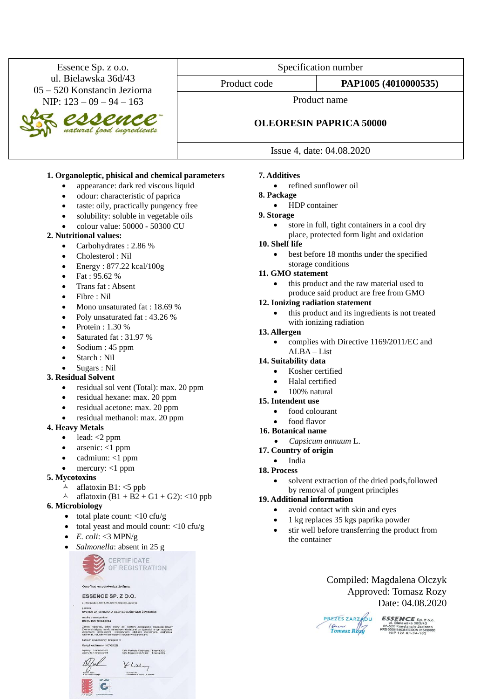| Essence Sp. z o.o.                                                                                                                                                                                                                                    | Specification number                                  |                                        |
|-------------------------------------------------------------------------------------------------------------------------------------------------------------------------------------------------------------------------------------------------------|-------------------------------------------------------|----------------------------------------|
| ul. Bielawska 36d/43<br>05 – 520 Konstancin Jeziorna                                                                                                                                                                                                  | Product code                                          | PAP1005 (4010000535)                   |
| NIP: $123 - 09 - 94 - 163$                                                                                                                                                                                                                            | Product name<br><b>OLEORESIN PAPRICA 50000</b>        |                                        |
| es Seuce                                                                                                                                                                                                                                              |                                                       |                                        |
|                                                                                                                                                                                                                                                       | Issue 4, date: 04.08.2020                             |                                        |
| 1. Organoleptic, phisical and chemical parameters<br>appearance: dark red viscous liquid<br>$\bullet$<br>odour: characteristic of paprica<br>$\bullet$<br>taste: oily, practically pungency free<br>$\bullet$<br>solukility solukla in vegetekle oile | <b>7. Additives</b><br>8. Package<br><b>Q</b> Storage | refined sunflower oil<br>HDP container |

solubility: soluble in vegetable oils • colour value: 50000 - 50300 CU

### **2. Nutritional values:**

- Carbohydrates : 2.86 %
- Cholesterol : Nil
- Energy :  $877.22$  kcal/100g
- Fat : 95.62 %
- Trans fat : Absent
- Fibre : Nil
- Mono unsaturated fat : 18.69 %
- Poly unsaturated fat : 43.26 %
- Protein :  $1.30\%$
- Saturated fat : 31.97 %
- Sodium : 45 ppm
- Starch : Nil
- Sugars : Nil

#### **3. Residual Solvent**

- residual sol vent (Total): max. 20 ppm
- residual hexane: max. 20 ppm
- residual acetone: max. 20 ppm
- residual methanol: max. 20 ppm

#### **4. Heavy Metals**

- $\bullet$  lead: <2 ppm
- arsenic: <1 ppm
- cadmium: <1 ppm
- mercury:  $<$ 1 ppm

#### **5. Mycotoxins**

- $\triangle$  aflatoxin B1: <5 ppb
- A aflatoxin  $(B1 + B2 + G1 + G2)$ : <10 ppb

#### **6. Microbiology**

- total plate count:  $<$ 10 cfu/g
- total yeast and mould count: <10 cfu/g
- $E. \text{ coli:} < 3 \text{ MPN/g}$
- *Salmonella*: absent in 25 g

CERTIFICATE OF REGISTRATION Certyfikat ten potwierdza, że firma: ESSENCE SP. Z O.O. posiada<br>SYSTEM ZARZĄDZANIA BEZPIECZEŃSTWEM ŻYWNOŚC zgodny z wymaganiami<br>BS EN ISO 22000:2005 rejestracji, jakim objęty jest System Zarz<br>ci dotyczy handlu naturalnymi dodatkami do ż<br>ami, przyprawami, oleorezynami, olejkami Data Pierwszej Certyfikacji: 14 marca 2012<br>Data Bieżącej Certyfikacji 14 marca 2012 Vlilley

Duncen Liby<br>Global Head - Ane

#### **9. Storage**

store in full, tight containers in a cool dry place, protected form light and oxidation

## **10. Shelf life**

• best before 18 months under the specified storage conditions

## **11. GMO statement**

this product and the raw material used to produce said product are free from GMO

#### **12. Ionizing radiation statement**

• this product and its ingredients is not treated with ionizing radiation

#### **13. Allergen**

• complies with Directive 1169/2011/EC and ALBA – List

#### **14. Suitability data**

- Kosher certified
- Halal certified
- 100% natural

#### **15. Intendent use**

- food colourant
- food flavor
- **16. Botanical name**
	- *Capsicum annuum* L.
- **17. Country of origin**
	- India
- **18. Process**
	- solvent extraction of the dried pods, followed by removal of pungent principles

### **19. Additional information**

- avoid contact with skin and eyes
- 1 kg replaces 35 kgs paprika powder
- stir well before transferring the product from the container



PREZES ZARZADU Cum<br>Tomasz Rozy

**ESSENCE**  $Sp. z_0.0$ . ul. Bielawska 36D/43<br>05-520 Konstancin-Jeziorna<br>KRS 0000164638 REGON 01549960<br>NIP 123-09-94-163